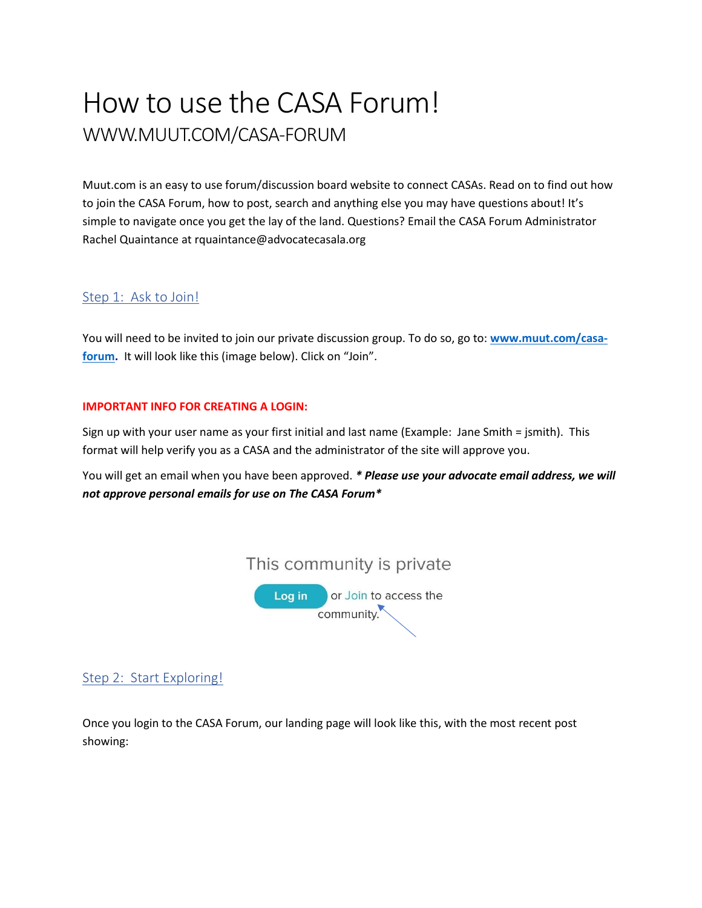## How to use the CASA Forum! WWW.MUUT.COM/CASA-FORUM

Muut.com is an easy to use forum/discussion board website to connect CASAs. Read on to find out how to join the CASA Forum, how to post, search and anything else you may have questions about! It's simple to navigate once you get the lay of the land. Questions? Email the CASA Forum Administrator Rachel Quaintance at rquaintance@advocatecasala.org

## Step 1: Ask to Join!

You will need to be invited to join our private discussion group. To do so, go to: **[www.muut.com/casa](http://www.muut.com/casa-forum)[forum.](http://www.muut.com/casa-forum)** It will look like this (image below). Click on "Join".

## **IMPORTANT INFO FOR CREATING A LOGIN:**

Sign up with your user name as your first initial and last name (Example: Jane Smith = jsmith). This format will help verify you as a CASA and the administrator of the site will approve you.

You will get an email when you have been approved. *\* Please use your advocate email address, we will not approve personal emails for use on The CASA Forum\**



## Step 2: Start Exploring!

Once you login to the CASA Forum, our landing page will look like this, with the most recent post showing: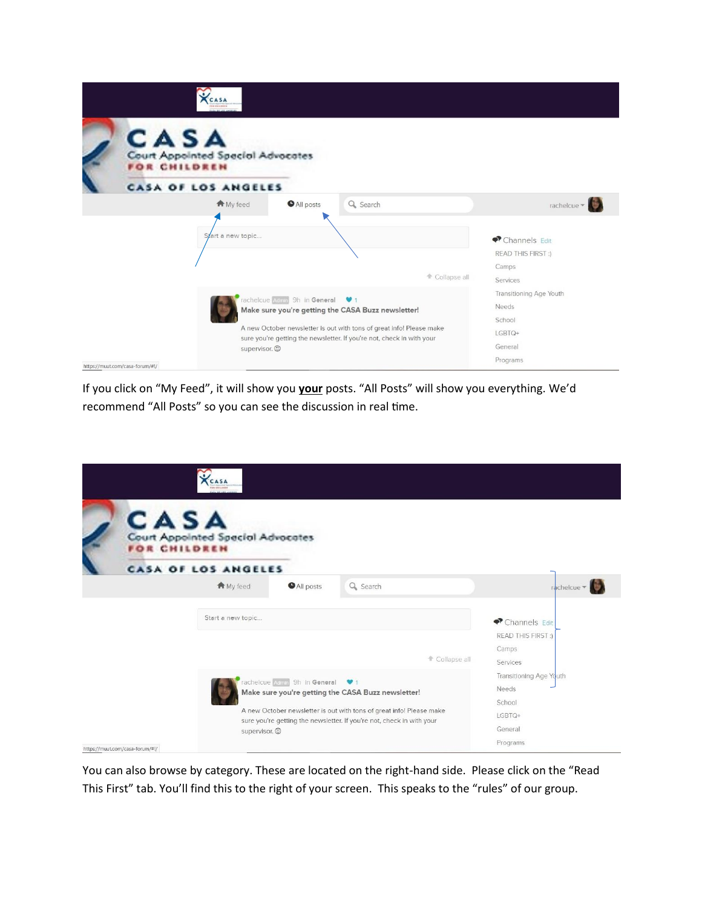| CASA<br>Court Appointed Special Advocates<br>CHILDREN                                                                                                                                                                                                                                       |                                                                             |
|---------------------------------------------------------------------------------------------------------------------------------------------------------------------------------------------------------------------------------------------------------------------------------------------|-----------------------------------------------------------------------------|
| CASA OF LOS ANGELES<br>Q Search<br>A My feed<br>All posts                                                                                                                                                                                                                                   | rachelcue $\blacktriangledown$                                              |
| Start a new topic<br>← Collapse all                                                                                                                                                                                                                                                         | ← Channels Edit<br>READ THIS FIRST :)<br>Camps<br>Services                  |
| rachelcue Admin 9h in General ♥1<br>Make sure you're getting the CASA Buzz newsletter!<br>A new October newsletter is out with tons of great info! Please make<br>sure you're getting the newsletter. If you're not, check in with your<br>supervisor. @<br>https://muut.com/casa-forum/#!/ | Transitioning Age Youth<br>Needs<br>School<br>LGBTQ+<br>General<br>Programs |

If you click on "My Feed", it will show you **your** posts. "All Posts" will show you everything. We'd recommend "All Posts" so you can see the discussion in real time.

| CASA<br>CHILDREN                | Court Appointed Special Advocates       |                                  |                                                                                                                                                                                                     |                                                                             |
|---------------------------------|-----------------------------------------|----------------------------------|-----------------------------------------------------------------------------------------------------------------------------------------------------------------------------------------------------|-----------------------------------------------------------------------------|
|                                 | <b>CASA OF LOS ANGELES</b><br>A My feed | <b>O</b> All posts               | Q Search                                                                                                                                                                                            | rachelcue *                                                                 |
|                                 | Start a new topic                       |                                  | ← Collapse all                                                                                                                                                                                      | ← Channels Edit<br>READ THIS FIRST:)<br>Camps<br>Services                   |
| https://muut.com/casa-forum/#!/ | supervisor. @                           | rachelcue Admin 9h In General V1 | Make sure you're getting the CASA Buzz newsletter!<br>A new October newsletter is out with tons of great info! Please make<br>sure you're getting the newsletter. If you're not, check in with your | Transitioning Age Youth<br>Needs<br>School<br>LGBTQ+<br>General<br>Programs |

You can also browse by category. These are located on the right-hand side. Please click on the "Read This First" tab. You'll find this to the right of your screen. This speaks to the "rules" of our group.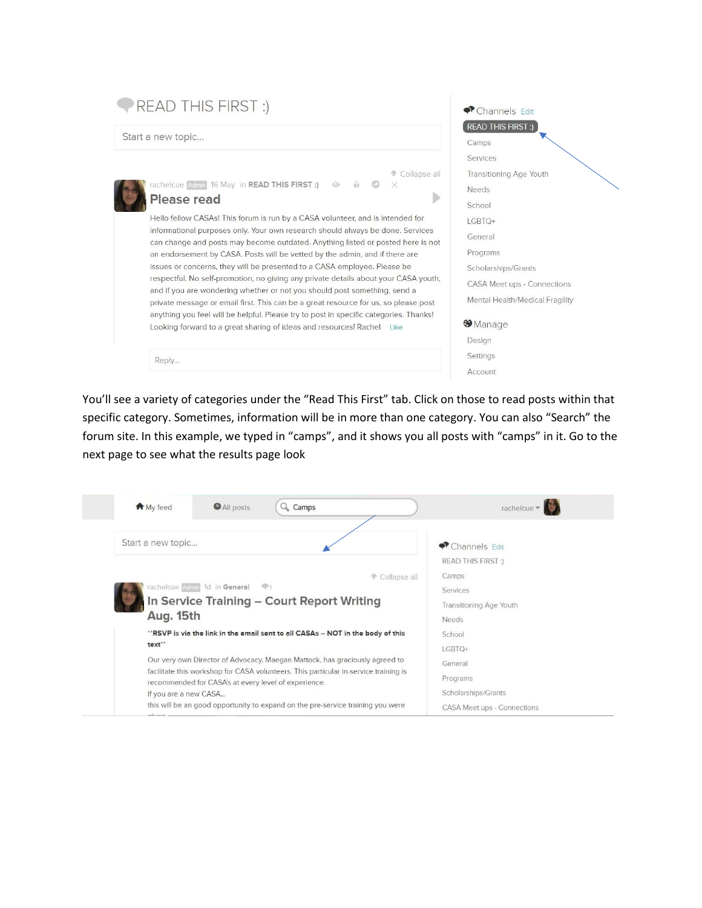| READ THIS FIRST :)                                                                                                                                                                                                                                                                                                                                                                                                                                                                                                                                                                                                                                                                                                                                                                                                                                                                                                                                       | $\bullet$ Channels Edit                                                                                                                                                                                                             |
|----------------------------------------------------------------------------------------------------------------------------------------------------------------------------------------------------------------------------------------------------------------------------------------------------------------------------------------------------------------------------------------------------------------------------------------------------------------------------------------------------------------------------------------------------------------------------------------------------------------------------------------------------------------------------------------------------------------------------------------------------------------------------------------------------------------------------------------------------------------------------------------------------------------------------------------------------------|-------------------------------------------------------------------------------------------------------------------------------------------------------------------------------------------------------------------------------------|
| Start a new topic                                                                                                                                                                                                                                                                                                                                                                                                                                                                                                                                                                                                                                                                                                                                                                                                                                                                                                                                        | <b>READ THIS FIRST:)</b><br>Camps                                                                                                                                                                                                   |
| Collapse all<br>rachelcue Admin 16 May in READ THIS FIRST :)<br>©<br>$\theta$<br>$\times$<br>Please read<br>Hello fellow CASAs! This forum is run by a CASA volunteer, and is intended for<br>informational purposes only. Your own research should always be done. Services<br>can change and posts may become outdated. Anything listed or posted here is not<br>an endorsement by CASA. Posts will be vetted by the admin, and if there are<br>issues or concerns, they will be presented to a CASA employee. Please be<br>respectful. No self-promotion, no giving any private details about your CASA youth,<br>and if you are wondering whether or not you should post something, send a<br>private message or email first. This can be a great resource for us, so please post<br>anything you feel will be helpful. Please try to post in specific categories. Thanks!<br>Looking forward to a great sharing of ideas and resources! Rachel Like | <b>Services</b><br><b>Transitioning Age Youth</b><br><b>Needs</b><br>School<br>$L$ GBTQ+<br>General<br>Programs<br>Scholarships/Grants<br>CASA Meet ups - Connections<br>Mental Health/Medical Fragility<br><b>Manage</b><br>Design |
| Reply                                                                                                                                                                                                                                                                                                                                                                                                                                                                                                                                                                                                                                                                                                                                                                                                                                                                                                                                                    | Settings<br>Account                                                                                                                                                                                                                 |

You'll see a variety of categories under the "Read This First" tab. Click on those to read posts within that specific category. Sometimes, information will be in more than one category. You can also "Search" the forum site. In this example, we typed in "camps", and it shows you all posts with "camps" in it. Go to the next page to see what the results page look

| A My feed         | <b>O</b> All posts                                                            | Q Camps                                                                                                                                                             | rachelcue v                                           |
|-------------------|-------------------------------------------------------------------------------|---------------------------------------------------------------------------------------------------------------------------------------------------------------------|-------------------------------------------------------|
| Start a new topic |                                                                               |                                                                                                                                                                     | ← Channels Edit<br>READ THIS FIRST:)                  |
|                   | rachelcue Admin 1d in General<br>Aug. 15th                                    | ← Collapse all<br>In Service Training - Court Report Writing                                                                                                        | Camps<br>Services<br>Transitioning Age Youth<br>Needs |
| text"             |                                                                               | "RSVP is via the link in the email sent to all CASAs - NOT in the body of this                                                                                      | School<br>LGBTQ+                                      |
|                   | recommended for CASA's at every level of experience.<br>If you are a new CASA | Our very own Director of Advocacy, Maegan Mattock, has graciously agreed to<br>facilitate this workshop for CASA volunteers. This particular in-service training is | General<br>Programs<br>Scholarships/Grants            |
| minon             |                                                                               | this will be an good opportunity to expand on the pre-service training you were                                                                                     | CASA Meet ups - Connections                           |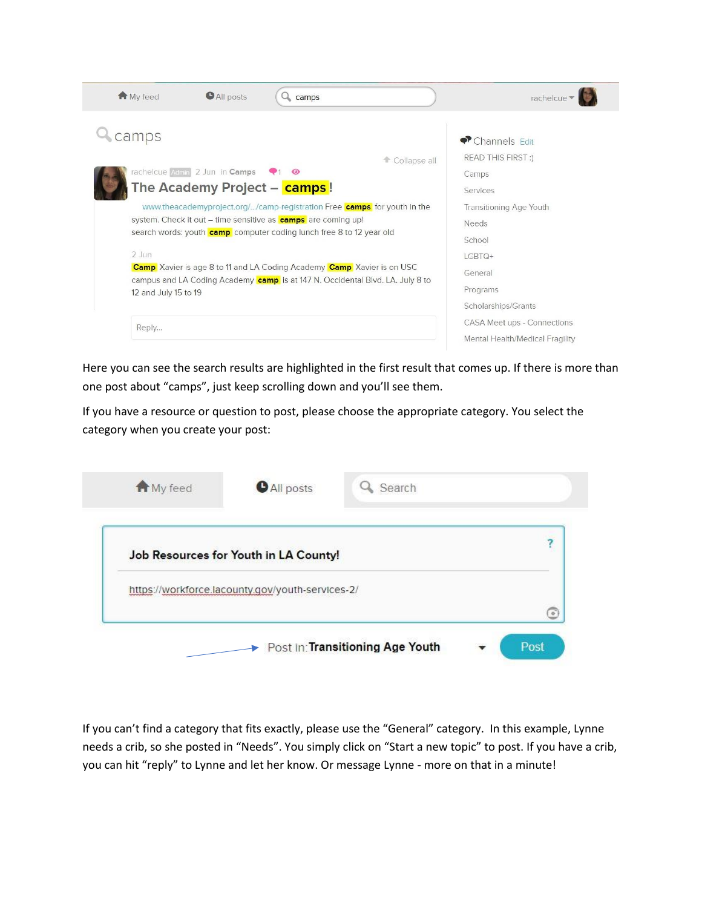

Here you can see the search results are highlighted in the first result that comes up. If there is more than one post about "camps", just keep scrolling down and you'll see them.

If you have a resource or question to post, please choose the appropriate category. You select the category when you create your post:

| Job Resources for Youth in LA County!            |                   |
|--------------------------------------------------|-------------------|
| https://workforce.lacounty.gov/youth-services-2/ |                   |
|                                                  | $\overline{\Phi}$ |

If you can't find a category that fits exactly, please use the "General" category. In this example, Lynne needs a crib, so she posted in "Needs". You simply click on "Start a new topic" to post. If you have a crib, you can hit "reply" to Lynne and let her know. Or message Lynne - more on that in a minute!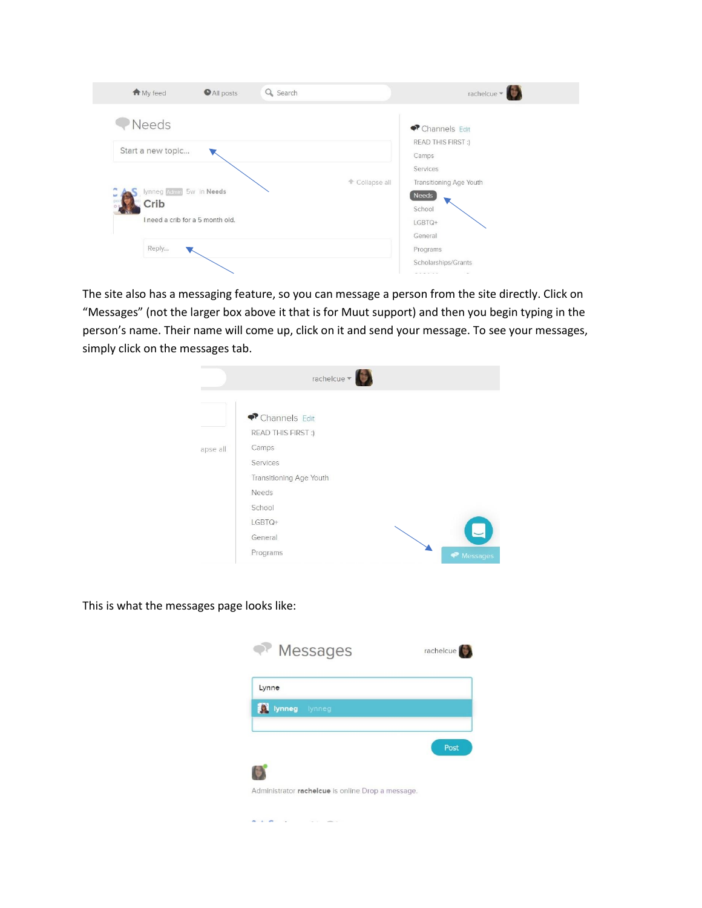| All posts<br>Q Search<br>A My feed         | rachelcue $\sqrt{2}$                                                        |
|--------------------------------------------|-----------------------------------------------------------------------------|
| Needs<br>Start a new topic                 | ← Channels Edit<br>READ THIS FIRST:)                                        |
| ← Collapse all<br>lynneg Admir 5w in Needs | Camps<br>Services<br>Transitioning Age Youth<br><b>Needs</b>                |
| Crib<br>I need a crib for a 5 month old.   | School<br>LGBTQ+<br>General                                                 |
| Reply                                      | Programs<br>Scholarships/Grants<br>$-1 - 1 - 1$<br><b>Contract Contract</b> |

The site also has a messaging feature, so you can message a person from the site directly. Click on "Messages" (not the larger box above it that is for Muut support) and then you begin typing in the person's name. Their name will come up, click on it and send your message. To see your messages, simply click on the messages tab.

|          | $rachelcue \nightharpoondown$       |
|----------|-------------------------------------|
|          | Channels Edit<br>READ THIS FIRST :) |
| apse all | Camps<br>Services                   |
|          | Transitioning Age Youth             |
|          | Needs                               |
|          | School                              |
|          | LGBTQ+                              |
|          | General                             |
|          | Programs<br>← Messages              |

This is what the messages page looks like: